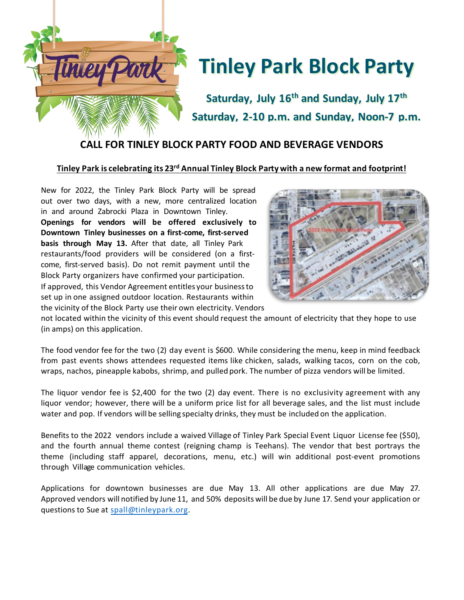

**Saturday, July 16th and Sunday, July 17th Saturday, 2-10 p.m. and Sunday, Noon-7 p.m.**

## **CALL FOR TINLEY BLOCK PARTY FOOD AND BEVERAGE VENDORS**

#### **Tinley Park is celebrating its 23rd Annual Tinley Block Party with a new format and footprint!**

New for 2022, the Tinley Park Block Party will be spread out over two days, with a new, more centralized location in and around Zabrocki Plaza in Downtown Tinley. **Openings for vendors will be offered exclusively to Downtown Tinley businesses on a first-come, first-served basis through May 13.** After that date, all Tinley Park restaurants/food providers will be considered (on a firstcome, first-served basis). Do not remit payment until the Block Party organizers have confirmed your participation. If approved, this Vendor Agreement entitles your businessto set up in one assigned outdoor location. Restaurants within the vicinity of the Block Party use their own electricity. Vendors



not located within the vicinity of this event should request the amount of electricity that they hope to use (in amps) on this application.

The food vendor fee for the two (2) day event is \$600. While considering the menu, keep in mind feedback from past events shows attendees requested items like chicken, salads, walking tacos, corn on the cob, wraps, nachos, pineapple kabobs, shrimp, and pulled pork. The number of pizza vendors will be limited.

The liquor vendor fee is \$2,400 for the two (2) day event. There is no exclusivity agreement with any liquor vendor; however, there will be a uniform price list for all beverage sales, and the list must include water and pop. If vendors will be selling specialty drinks, they must be included on the application.

Benefits to the 2022 vendors include a waived Village of Tinley Park Special Event Liquor License fee (\$50), and the fourth annual theme contest (reigning champ is Teehans). The vendor that best portrays the theme (including staff apparel, decorations, menu, etc.) will win additional post-event promotions through Village communication vehicles.

Applications for downtown businesses are due May 13. All other applications are due May 27. Approved vendors will notified by June 11, and 50% deposits will be due by June 17. Send your application or questions to Sue at [spall@tinleypark.org.](mailto:spall@tinleypark.org)